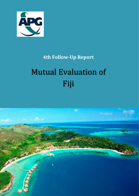

## **4th Follow-Up Report**

# Mutual Evaluation of Fiji

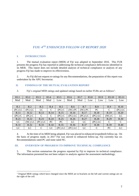### *FIJI: 4 TH ENHANCED FOLLOW-UP REPORT 2020*

#### **I. INTRODUCTION**

1

1. The mutual evaluation report (MER) of Fiji was adopted in September 2016. This FUR presents the progress Fiji has reported in addressing the technical compliance deficiencies identified in its MER. This report does not include detailed analysis of technical compliance or analysis of any progress Fiji has made to improve its effectiveness.

2. As Fiji did not request re-ratings for any Recommendations, the preparation of this report was undertaken by the APG Secretariat.

#### **II. FINDINGS OF THE MUTUAL EVALUATION REPORT**

| IO.1     | IO.2     | IO.3    | IO.4 | IO.5   | IO.6    | IO.7 | IO.8      |  | IO.9      | IO.10      | IO.11         |
|----------|----------|---------|------|--------|---------|------|-----------|--|-----------|------------|---------------|
| Mod      | Mod      | Mod     | Mod  | Low    | Mod     | Mod  | Low       |  | Low       | Low        | Low           |
|          |          |         |      |        |         |      |           |  |           |            |               |
| R.1      | R.2      | R.3     | R.4  | R.5    | R.6     |      | R.7       |  | R.8       | R.9        | R.10          |
| (PC) LC  | (PC) LC  | LC      | C    | (PC) C | (NC) PC |      | $(NC)$ PC |  | PC        | C          | (PC) LC       |
| R.11     | R.12     | R.13    | R.14 | R.15   | R.16    |      | R.17      |  | R.18      | R.19       | R.20          |
| $(PC)$ C | $(PC)$ C | C       | C    | (PC) C | (PC) LC |      | (PC) LC   |  | $(PC)$ LC | $(NC)$ $C$ | LC            |
| R.21     | R.22     | R.23    | R.24 | R.25   | R.26    |      | R.27      |  | R.28      | R.29       | R.30          |
| LC       | (NC) LC  | (PC) LC | PC   | PC     | LC      |      | LC        |  | $(PC)$ LC | C          | $\mathcal{C}$ |
| R.31     | R.32     | R.33    | R.34 | R.35   | R.36    | R.37 |           |  | R.38      | R.39       | R.40          |

3. Fiji's original MER ratings and updated ratings based on earlier FURs are as follows<sup>1</sup>:

4. At the time of its MER being adopted, Fiji was placed in enhanced (expedited) follow-up. On the basis of progress made, in 2017 Fiji was moved to enhanced follow-up. Fiji currently has six Recommendations rated PC and none rated NC.

LC  $\vert$  LC  $\vert$  C  $\vert$  LC  $\vert$  (PC) LC  $\vert$  (PC) LC  $\vert$  LC  $\vert$  C  $\vert$  PC  $\vert$  LC

#### **III. OVERVIEW OF PROGRESS TO IMPROVE TECHNICAL COMPLIANCE**

5. This section summarises the progress reported by Fiji to improve its technical compliance. The information presented has not been subject to analysis against the assessment methodology.

<sup>&</sup>lt;sup>1</sup> Original MER ratings which have changed since the MER are in brackets on the left and current ratings are on the right of the cell.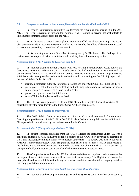#### **3.1. Progress to address technical compliance deficiencies identified in the MER**

6. Fiji reports that it remains committed to addressing the remaining gaps identified in the 2016 MER. The Fijian Government through the National AML Council is driving national efforts to implement recommendations outlined in the MER.

7. Fiji is finalising a national action plan to eradicate trafficking of persons in Fiji. The action plan ensures that Fiji's response to Human Trafficking is driven by the pillars of the Palermo Protocol – prevention, protection, prosecution and partnership.

8. Fiji is finalising a review of its NRA, focussing on Fiji's ML threats. The findings of the review have been reported, with consultations held with key law enforcement agencies.

#### *Recommendation 6 (TFS related to Terrorism and TF)*

9. Fiji reported that the Solicitor General's Office is revising the Public Order Act to address the deficiencies remaining under R.6 and R.7. Consultation on the draft Public Order Amendment Bill has been ongoing from 2018. The United Nations Counter Terrorism Executive Directorate (CTED) and APG Secretariat have provided assistance in reviewing and commenting on the Bill. Fiji reports that the revised Public Order Act will:

- identify a competent authority to propose designations under UNSCRs 1267, 1988 and 1373
- put in place legal authority for collecting and soliciting information of suspected persons / entities suspected to meet the criteria for designation
- protect the rights of bona fide third parties
- enable TFS to be implemented immediately

10. The FIU will issue guidance to FIs and DNFBPs on their targeted financial sanctions (TFS) obligations after the amendments to the Public Order Act have been passed.

#### *Recommendation 7 (TFS related to proliferation)*

11. The 2017 Public Order Amendment Act introduced a legal framework for combating financing the proliferation of WMD. Fiji's 2017 FUR identified remaining deficiencies in R.7 which Fiji reported will be addressed by the revision to the Public Order Act.

#### *Recommendation 8 (Non-profit organisations (NPOs))*

12. Fiji sought technical assistance from the APG to address the deficiencies under R.8, with a consultant engaged by APG in 2019 to conduct a review of the NPO sector, covering all elements of C.8.1 and including recommendations for competent authorities. The review was also to deliver an AML/CFT supervision strategy, work program and manual for Fiji's at-risk NPOs. A draft report on the findings and recommendations was submitted to the Registrar of NPOs Office. The TA project has been put on hold, with another consultant identified to complete this project in 2020.

13. The Companies Amendment Act 2020 is in force and effect and requires charitable companies to prepare financial statements, which will increase their transparency. The Registrar of Companies may publish and make publicly available any information in relation to a charitable company that does not comply with these requirements.

#### *Recommendation 24 (Transparency and beneficial ownership of legal persons)*

14. Fiji reported that the Companies (Budget Amendment) Act 23 came into effect on 15 January 2020.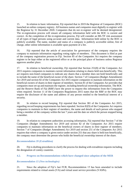15. In relation to basic information, Fiji reported that in 2019 the Registrar of Companies (ROC) launched an online company registry. All business names and companies must digitally re-register with the Registrar by 31 December 2020. Companies that do not re-register will be deemed deregistered. The re-registration process will ensure all company information held with the ROC is current and correct. At the completion of the re-registration process, Fiji will consider an ML/TF risk assessment of all types of legal persons using accurate and current data. Information held online by the ROC is publicly available. The name, number and status of a company is publicly accessible online, free of charge, other online information is available upon payment of a fee.

16. Fiji reported that the article of association for governance of the company requires the company to maintain information regarding voting rights of members. This document is filed as part of the company registration process in Fiji. Section 85 of the Companies Act requires the company register to be kept either at the registered office or at the principal place of business unless Registrar approves another place.

17. In relation to beneficial ownership, Fiji reported that Section 251(8) of the Companies Act 2015 requires companies to maintain current information relating to shares held non-beneficially. This act requires non-listed companies to indicate any shares that a member does not hold beneficially and to include the name of the beneficial owner of the share. Section 7 of Companies (Budget Amendment) Act 2019 and section 82 of the Companies Act 2015 require companies to maintain information on the beneficial owners of shares in their register of members. Section 81 of the Companies Act provides that companies must set up and maintain the register, including beneficial ownership information. The ROC and the Reserve Bank of Fiji (RBF) have the power to request this information from the Companies when required. Section 11 of the Companies Regulations 2015 states that the RBF or the ROC may require the disclosure of the name and address of any person entitled to the beneficial interest of a security.

18. In relation to record keeping, Fiji reported that Section 381 of the Companies Act 2015, regarding record keeping requirements has been repealed. Section 82(9) of the Companies Act requires companies to maintain in their register of members, the name and details of each person who stopped being a member of the company within the last 7 years and the date on which the person stopped being a member.

19. In relation to competent authorities accessing information, Fiji reported that Section 7 of the Companies (Budget Amendment) Act 2019 and section 82 of the Companies Act 2015 require companies to maintain information on the beneficial owners of shares in their register of members. Section 7 of Companies (Budget Amendment) Act 2019 and section 251 of the Companies Act 2015 requires that where a company is given notice under section 251 that any share is held non-beneficially, the company must determine the person who holds the beneficial ownership interest of the share.

#### *Recommendation 39 (Extradition)*

20. Fiji is drafting procedures to clarify the process for dealing with extradition requests including the designation of comity countries.

#### **4.2. Progress on Recommendations which have changed since adoption of the MER**

#### *Recommendation 15 (New technologies)*

21. Since the adoption of Fiji's last FUR, Recommendation 15 has been amended to include requirements related to virtual assets (VA) and virtual asset service providers (VASPs).